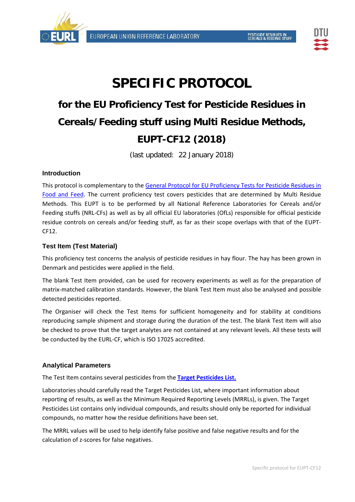



# **SPECIFIC PROTOCOL**

## **for the EU Proficiency Test for Pesticide Residues in Cereals/Feeding stuff using Multi Residue Methods, EUPT-CF12 (2018)**

(last updated: 22 January 2018)

### **Introduction**

This protocol is complementary to the General Protocol for EU Proficiency Tests for Pesticide Residues in Food and Feed. The current proficiency test covers pesticides that are determined by Multi Residue Methods. This EUPT is to be performed by all National Reference Laboratories for Cereals and/or Feeding stuffs (NRL‐CFs) as well as by all official EU laboratories (OfLs) responsible for official pesticide residue controls on cereals and/or feeding stuff, as far as their scope overlaps with that of the EUPT‐ CF12.

## **Test Item (Test Material)**

This proficiency test concerns the analysis of pesticide residues in hay flour. The hay has been grown in Denmark and pesticides were applied in the field.

The blank Test Item provided, can be used for recovery experiments as well as for the preparation of matrix‐matched calibration standards. However, the blank Test Item must also be analysed and possible detected pesticides reported.

The Organiser will check the Test Items for sufficient homogeneity and for stability at conditions reproducing sample shipment and storage during the duration of the test. The blank Test Item will also be checked to prove that the target analytes are not contained at any relevant levels. All these tests will be conducted by the EURL‐CF, which is ISO 17025 accredited.

### **Analytical Parameters**

The Test Item contains several pesticides from the **Target Pesticides List.**

Laboratories should carefully read the Target Pesticides List, where important information about reporting of results, as well as the Minimum Required Reporting Levels (MRRLs), is given. The Target Pesticides List contains only individual compounds, and results should only be reported for individual compounds, no matter how the residue definitions have been set.

The MRRL values will be used to help identify false positive and false negative results and for the calculation of z‐scores for false negatives.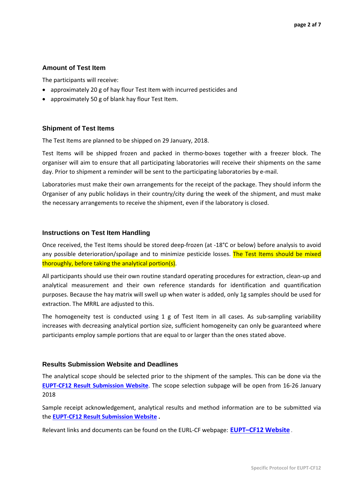#### **Amount of Test Item**

The participants will receive:

- approximately 20 g of hay flour Test Item with incurred pesticides and
- approximately 50 g of blank hay flour Test Item.

#### **Shipment of Test Items**

The Test Items are planned to be shipped on 29 January, 2018.

Test Items will be shipped frozen and packed in thermo-boxes together with a freezer block. The organiser will aim to ensure that all participating laboratories will receive their shipments on the same day. Prior to shipment a reminder will be sent to the participating laboratories by e‐mail.

Laboratories must make their own arrangements for the receipt of the package. They should inform the Organiser of any public holidays in their country/city during the week of the shipment, and must make the necessary arrangements to receive the shipment, even if the laboratory is closed.

#### **Instructions on Test Item Handling**

Once received, the Test Items should be stored deep-frozen (at -18°C or below) before analysis to avoid any possible deterioration/spoilage and to minimize pesticide losses. The Test Items should be mixed thoroughly, before taking the analytical portion(s).

All participants should use their own routine standard operating procedures for extraction, clean‐up and analytical measurement and their own reference standards for identification and quantification purposes. Because the hay matrix will swell up when water is added, only 1g samples should be used for extraction. The MRRL are adjusted to this.

The homogeneity test is conducted using 1 g of Test Item in all cases. As sub-sampling variability increases with decreasing analytical portion size, sufficient homogeneity can only be guaranteed where participants employ sample portions that are equal to or larger than the ones stated above.

#### **Results Submission Website and Deadlines**

The analytical scope should be selected prior to the shipment of the samples. This can be done via the **EUPT‐CF12 Result Submission Website**. The scope selection subpage will be open from 16‐26 January 2018

Sample receipt acknowledgement, analytical results and method information are to be submitted via the **EUPT‐CF12 Result Submission Website .**

Relevant links and documents can be found on the EURL‐CF webpage: **EUPT–CF12 Website** .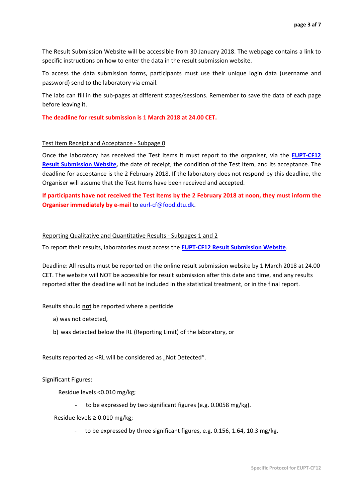The Result Submission Website will be accessible from 30 January 2018. The webpage contains a link to specific instructions on how to enter the data in the result submission website.

To access the data submission forms, participants must use their unique login data (username and password) send to the laboratory via email.

The labs can fill in the sub‐pages at different stages/sessions. Remember to save the data of each page before leaving it.

**The deadline for result submission is 1 March 2018 at 24.00 CET.**

#### Test Item Receipt and Acceptance ‐ Subpage 0

Once the laboratory has received the Test Items it must report to the organiser, via the **EUPT‐CF12 Result Submission Website,** the date of receipt, the condition of the Test Item, and its acceptance. The deadline for acceptance is the 2 February 2018. If the laboratory does not respond by this deadline, the Organiser will assume that the Test Items have been received and accepted.

If participants have not received the Test Items by the 2 February 2018 at noon, they must inform the **Organiser immediately by e‐mail** to eurl‐cf@food.dtu.dk.

#### Reporting Qualitative and Quantitative Results ‐ Subpages 1 and 2

To report their results, laboratories must access the **EUPT‐CF12 Result Submission Website**.

Deadline: All results must be reported on the online result submission website by 1 March 2018 at 24.00 CET. The website will NOT be accessible for result submission after this date and time, and any results reported after the deadline will not be included in the statistical treatment, or in the final report.

#### Results should **not** be reported where a pesticide

- a) was not detected,
- b) was detected below the RL (Reporting Limit) of the laboratory, or

Results reported as <RL will be considered as "Not Detected".

Significant Figures:

Residue levels <0.010 mg/kg;

to be expressed by two significant figures (e.g. 0.0058 mg/kg).

Residue levels ≥ 0.010 mg/kg;

to be expressed by three significant figures, e.g. 0.156, 1.64, 10.3 mg/kg.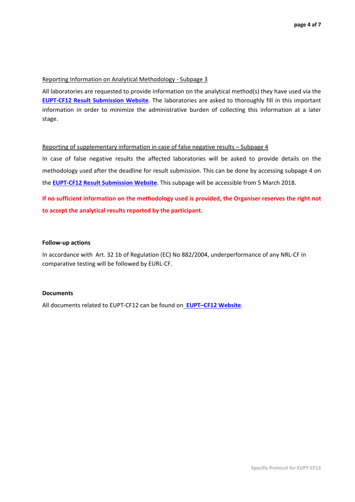#### Reporting Information on Analytical Methodology ‐ Subpage 3

All laboratories are requested to provide information on the analytical method(s) they have used via the **EUPT‐CF12 Result Submission Website**. The laboratories are asked to thoroughly fill in this important information in order to minimize the administrative burden of collecting this information at a later stage.

#### Reporting of supplementary information in case of false negative results – Subpage 4

In case of false negative results the affected laboratories will be asked to provide details on the methodology used after the deadline for result submission. This can be done by accessing subpage 4 on the **EUPT‐CF12 Result Submission Website**. This subpage will be accessible from 5 March 2018.

**If no sufficient information on the methodology used is provided, the Organiser reserves the right not to accept the analytical results reported by the participant.**

#### **Follow‐up actions**

In accordance with Art. 32 1b of Regulation (EC) No 882/2004, underperformance of any NRL‐CF in comparative testing will be followed by EURL‐CF.

#### **Documents**

All documents related to EUPT‐CF12 can be found on **EUPT–CF12 Website**.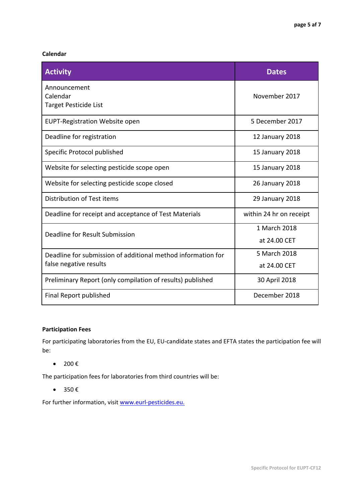#### **Calendar**

| <b>Activity</b>                                              | <b>Dates</b>            |
|--------------------------------------------------------------|-------------------------|
| Announcement<br>Calendar<br><b>Target Pesticide List</b>     | November 2017           |
| <b>EUPT-Registration Website open</b>                        | 5 December 2017         |
| Deadline for registration                                    | 12 January 2018         |
| Specific Protocol published                                  | 15 January 2018         |
| Website for selecting pesticide scope open                   | 15 January 2018         |
| Website for selecting pesticide scope closed                 | 26 January 2018         |
| Distribution of Test items                                   | 29 January 2018         |
| Deadline for receipt and acceptance of Test Materials        | within 24 hr on receipt |
| Deadline for Result Submission                               | 1 March 2018            |
|                                                              | at 24.00 CET            |
| Deadline for submission of additional method information for | 5 March 2018            |
| false negative results                                       | at 24.00 CET            |
| Preliminary Report (only compilation of results) published   | 30 April 2018           |
| Final Report published                                       | December 2018           |

#### **Participation Fees**

For participating laboratories from the EU, EU‐candidate states and EFTA states the participation fee will be:

 $\bullet$  200 $\epsilon$ 

The participation fees for laboratories from third countries will be:

 $\bullet$  350 €

For further information, visit www.eurl-pesticides.eu.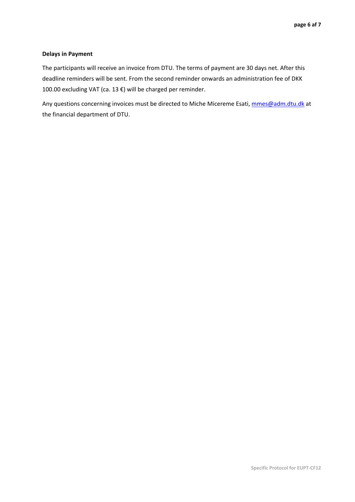#### **Delays in Payment**

The participants will receive an invoice from DTU. The terms of payment are 30 days net. After this deadline reminders will be sent. From the second reminder onwards an administration fee of DKK 100.00 excluding VAT (ca. 13 €) will be charged per reminder.

Any questions concerning invoices must be directed to Miche Micereme Esati, mmes@adm.dtu.dk at the financial department of DTU.